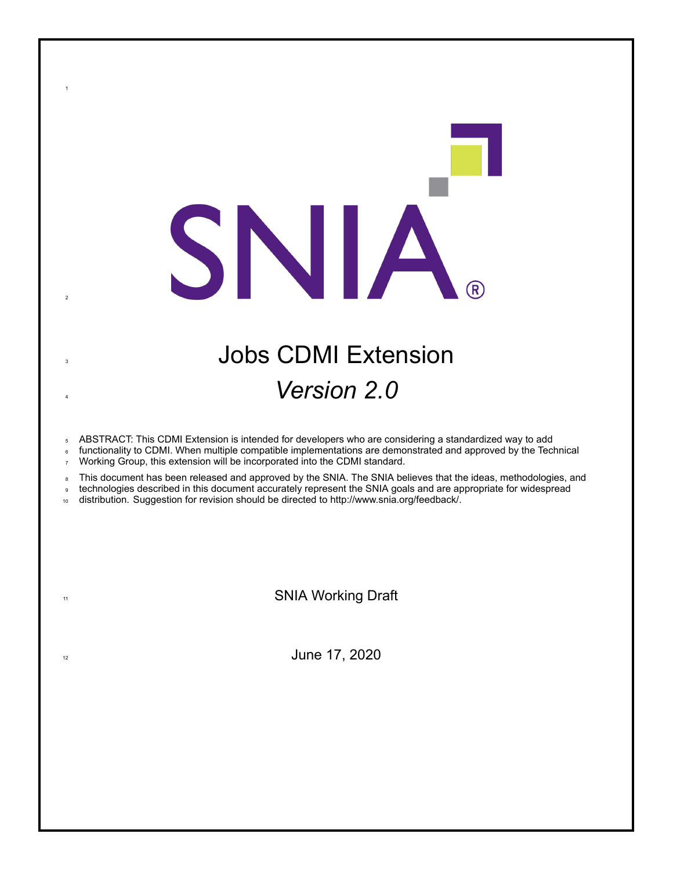# <sup>3</sup> Jobs CDMI Extension <sup>4</sup> *Version 2.0*

<sup>5</sup> ABSTRACT: This CDMI Extension is intended for developers who are considering a standardized way to add

SNIA

functionality to CDMI. When multiple compatible implementations are demonstrated and approved by the Technical <sup>7</sup> Working Group, this extension will be incorporated into the CDMI standard.

8 This document has been released and approved by the SNIA. The SNIA believes that the ideas, methodologies, and

<sup>9</sup> technologies described in this document accurately represent the SNIA goals and are appropriate for widespread

10 distribution. Suggestion for revision should be directed to http://www.snia.org/feedback/.

1

2

11 SNIA Working Draft

 $\frac{1}{2}$  June 17, 2020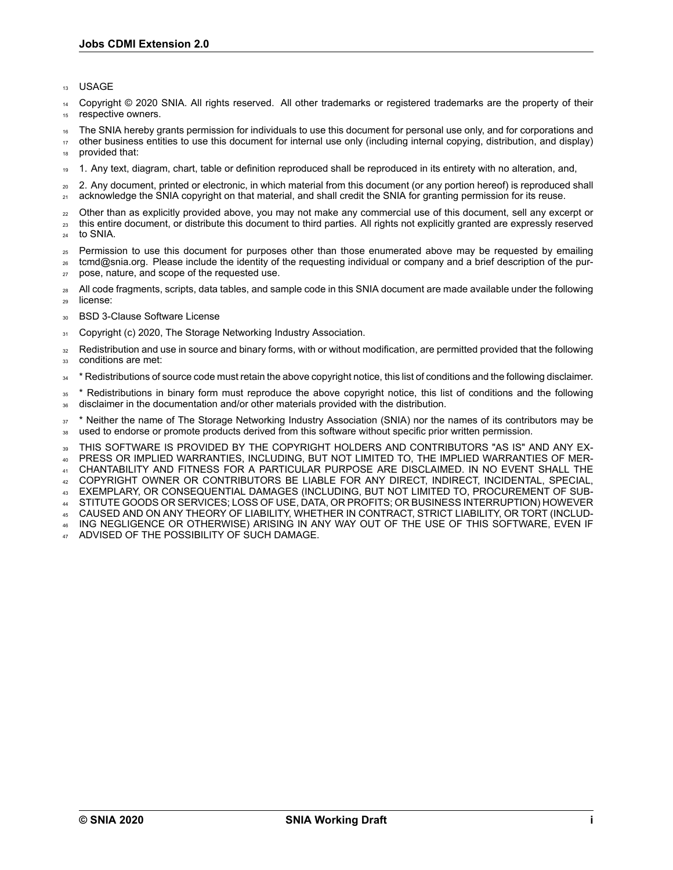<sup>13</sup> USAGE

Copyright © 2020 SNIA. All rights reserved. All other trademarks or registered trademarks are the property of their 15 respective owners.

<sup>16</sup> The SNIA hereby grants permission for individuals to use this document for personal use only, and for corporations and

<sup>17</sup> other business entities to use this document for internal use only (including internal copying, distribution, and display) provided that:

<sup>19</sup> 1. Any text, diagram, chart, table or definition reproduced shall be reproduced in its entirety with no alteration, and,

<sup>20</sup> 2. Any document, printed or electronic, in which material from this document (or any portion hereof) is reproduced shall <sub>21</sub> acknowledge the SNIA copyright on that material, and shall credit the SNIA for granting permission for its reuse.

<sub>22</sub> Other than as explicitly provided above, you may not make any commercial use of this document, sell any excerpt or <sup>23</sup> this entire document, or distribute this document to third parties. All rights not explicitly granted are expressly reserved

<sup>24</sup> to SNIA.

<sup>25</sup> Permission to use this document for purposes other than those enumerated above may be requested by emailing <sup>26</sup> tcmd@snia.org. Please include the identity of the requesting individual or company and a brief description of the pur-

<sup>27</sup> pose, nature, and scope of the requested use.

28 All code fragments, scripts, data tables, and sample code in this SNIA document are made available under the following <sup>29</sup> license:

30 BSD 3-Clause Software License

31 Copyright (c) 2020, The Storage Networking Industry Association.

<sup>32</sup> Redistribution and use in source and binary forms, with or without modification, are permitted provided that the following 33 conditions are met:

<sup>34</sup> \* Redistributions of source code must retain the above copyright notice, this list of conditions and the following disclaimer.

<sup>35</sup> \* Redistributions in binary form must reproduce the above copyright notice, this list of conditions and the following <sup>36</sup> disclaimer in the documentation and/or other materials provided with the distribution.

<sup>37</sup> \* Neither the name of The Storage Networking Industry Association (SNIA) nor the names of its contributors may be <sup>38</sup> used to endorse or promote products derived from this software without specific prior written permission.

<sup>39</sup> THIS SOFTWARE IS PROVIDED BY THE COPYRIGHT HOLDERS AND CONTRIBUTORS "AS IS" AND ANY EX-<sup>40</sup> PRESS OR IMPLIED WARRANTIES, INCLUDING, BUT NOT LIMITED TO, THE IMPLIED WARRANTIES OF MER-

<sup>41</sup> CHANTABILITY AND FITNESS FOR A PARTICULAR PURPOSE ARE DISCLAIMED. IN NO EVENT SHALL THE

<sup>42</sup> COPYRIGHT OWNER OR CONTRIBUTORS BE LIABLE FOR ANY DIRECT, INDIRECT, INCIDENTAL, SPECIAL,

<sup>43</sup> EXEMPLARY, OR CONSEQUENTIAL DAMAGES (INCLUDING, BUT NOT LIMITED TO, PROCUREMENT OF SUB-

<sup>44</sup> STITUTE GOODS OR SERVICES; LOSS OF USE, DATA, OR PROFITS; OR BUSINESS INTERRUPTION) HOWEVER

<sup>45</sup> CAUSED AND ON ANY THEORY OF LIABILITY, WHETHER IN CONTRACT, STRICT LIABILITY, OR TORT (INCLUD-<sup>46</sup> ING NEGLIGENCE OR OTHERWISE) ARISING IN ANY WAY OUT OF THE USE OF THIS SOFTWARE, EVEN IF

ADVISED OF THE POSSIBILITY OF SUCH DAMAGE.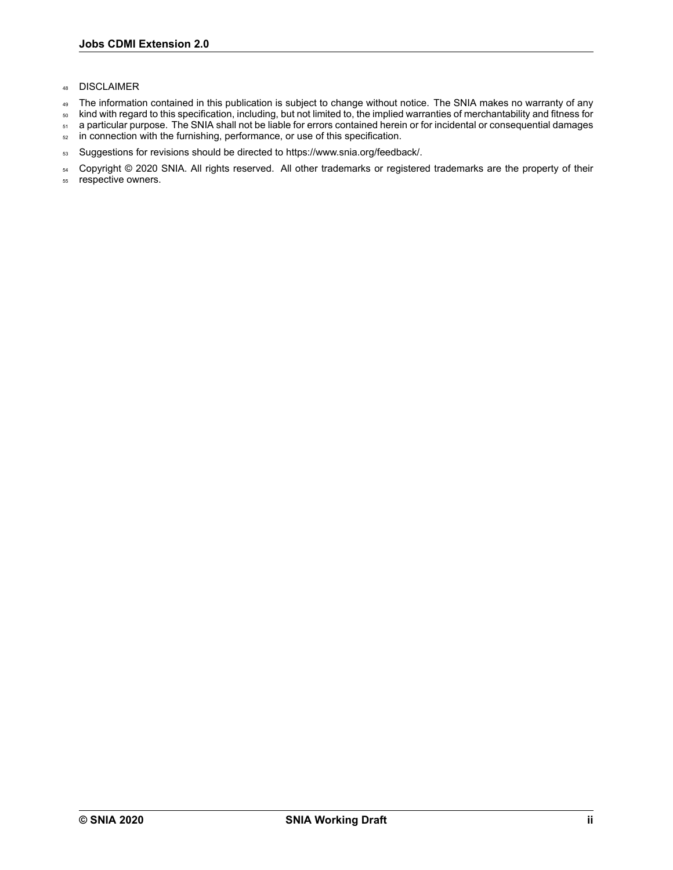- <sup>48</sup> DISCLAIMER
- 49 The information contained in this publication is subject to change without notice. The SNIA makes no warranty of any
- <sup>50</sup> kind with regard to this specification, including, but not limited to, the implied warranties of merchantability and fitness for
- 51 a particular purpose. The SNIA shall not be liable for errors contained herein or for incidental or consequential damages
- 52 in connection with the furnishing, performance, or use of this specification.
- 53 Suggestions for revisions should be directed to https://www.snia.org/feedback/.

54 Copyright © 2020 SNIA. All rights reserved. All other trademarks or registered trademarks are the property of their

<sup>55</sup> respective owners.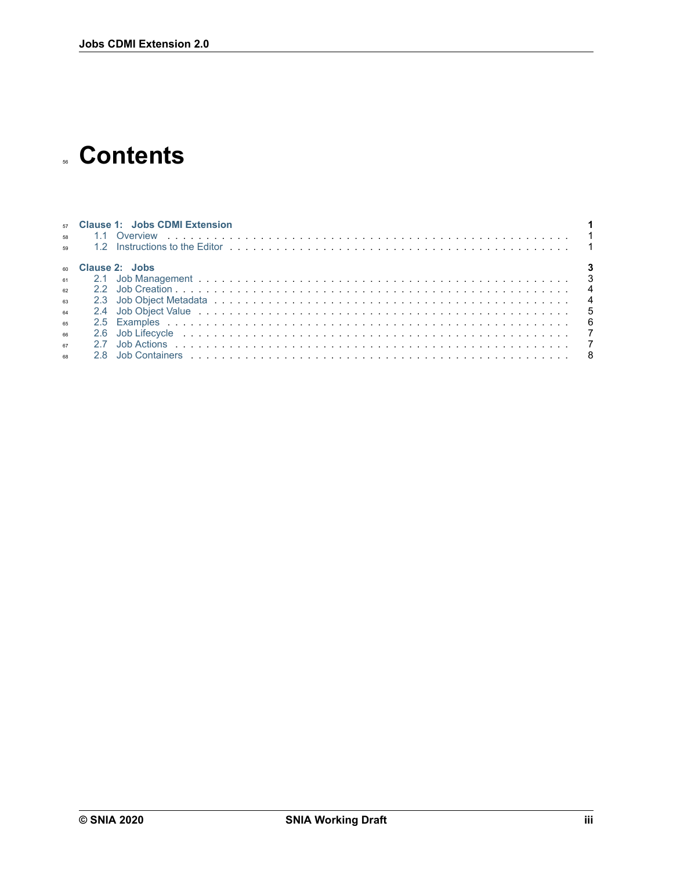## **Contents**

|    |     | 57 Clause 1: Jobs CDMI Extension |
|----|-----|----------------------------------|
|    |     |                                  |
| 59 |     |                                  |
|    |     | 60 Clause 2: Jobs                |
| 61 |     |                                  |
| 62 |     |                                  |
| 63 |     |                                  |
| 64 |     |                                  |
| 65 |     |                                  |
| 66 |     |                                  |
| 67 |     |                                  |
| 68 | 28. |                                  |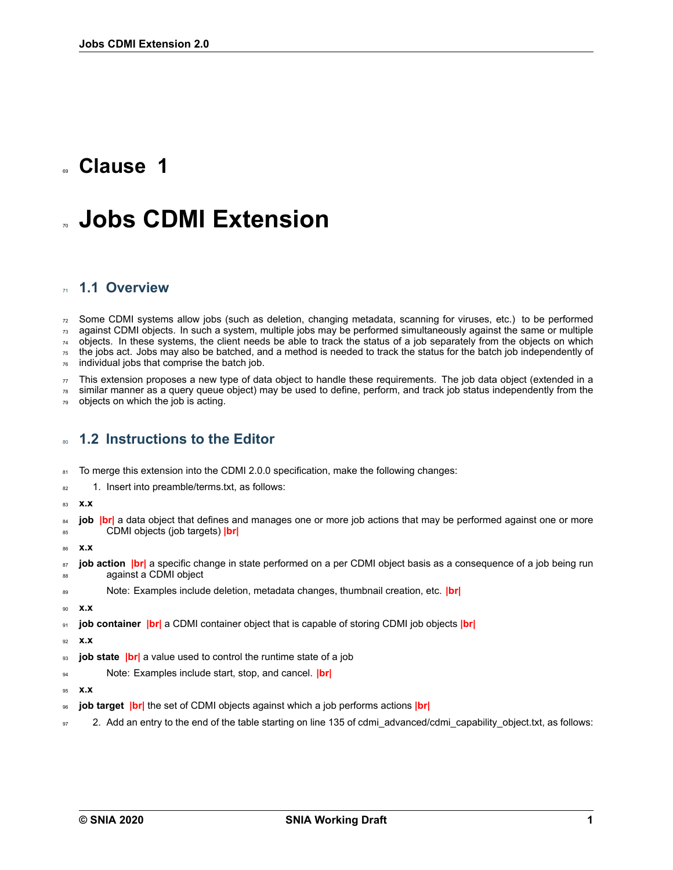## <span id="page-4-0"></span>**Clause 1**

## **Jobs CDMI Extension**

#### <span id="page-4-1"></span>**1.1 Overview**

 Some CDMI systems allow jobs (such as deletion, changing metadata, scanning for viruses, etc.) to be performed against CDMI objects. In such a system, multiple jobs may be performed simultaneously against the same or multiple objects. In these systems, the client needs be able to track the status of a job separately from the objects on which the jobs act. Jobs may also be batched, and a method is needed to track the status for the batch job independently of individual jobs that comprise the batch job.

 $\pi$  This extension proposes a new type of data object to handle these requirements. The job data object (extended in a

 similar manner as a query queue object) may be used to define, perform, and track job status independently from the objects on which the job is acting.

### <span id="page-4-2"></span>**1.2 Instructions to the Editor**

81 To merge this extension into the CDMI 2.0.0 specification, make the following changes:

- 82 1. Insert into preamble/terms.txt, as follows:
- **x.x**
- <sup>84</sup> **job |br|** a data object that defines and manages one or more job actions that may be performed against one or more CDMI objects (job targets) **|br|**
- **x.x**
- <sup>87</sup> **job action |br|** a specific change in state performed on a per CDMI object basis as a consequence of a job being run 88 against a CDMI object
- Note: Examples include deletion, metadata changes, thumbnail creation, etc. **|br|**
- **x.x**

**job container |br|** a CDMI container object that is capable of storing CDMI job objects **|br|**

- **x.x**
- **job state |br|** a value used to control the runtime state of a job
- Note: Examples include start, stop, and cancel. **|br|**
- **x.x**
- **job target |br|** the set of CDMI objects against which a job performs actions **|br|**
- 97 2. Add an entry to the end of the table starting on line 135 of cdmi\_advanced/cdmi\_capability\_object.txt, as follows: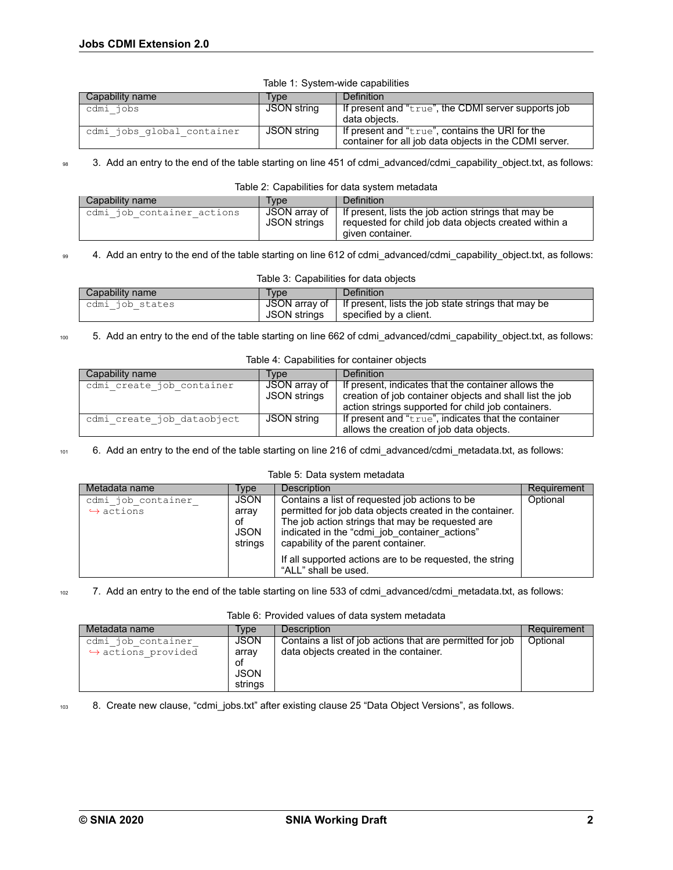| Capability name            | Tvpe        | Definition                                                                                                |
|----------------------------|-------------|-----------------------------------------------------------------------------------------------------------|
| cdmi jobs                  | JSON string | If present and "true", the CDMI server supports job<br>data obiects.                                      |
| cdmi jobs global container | JSON string | If present and "true", contains the URI for the<br>container for all job data objects in the CDMI server. |

#### Table 1: System-wide capabilities

#### 98 3. Add an entry to the end of the table starting on line 451 of cdmi\_advanced/cdmi\_capability\_object.txt, as follows:

#### Table 2: Capabilities for data system metadata

| Capability name            | Type         | <b>Definition</b>                                                                                                                                           |
|----------------------------|--------------|-------------------------------------------------------------------------------------------------------------------------------------------------------------|
| cdmi job container actions | JSON strings | JSON array of $\parallel$ If present, lists the job action strings that may be<br>requested for child job data objects created within a<br>given container. |

#### 99 4. Add an entry to the end of the table starting on line 612 of cdmi advanced/cdmi capability object.txt, as follows:

| Table 3: Capabilities for data objects       |  |                                                                     |  |  |  |  |
|----------------------------------------------|--|---------------------------------------------------------------------|--|--|--|--|
| Capability name<br>Definition<br><b>Type</b> |  |                                                                     |  |  |  |  |
| cdmi job states                              |  | JSON array of   If present, lists the job state strings that may be |  |  |  |  |
|                                              |  | $JSON$ strings $\parallel$ specified by a client.                   |  |  |  |  |

#### 100 5. Add an entry to the end of the table starting on line 662 of cdmi\_advanced/cdmi\_capability\_object.txt, as follows:

#### Table 4: Capabilities for container objects

| Capability name            | Tvpe          | Definition                                               |
|----------------------------|---------------|----------------------------------------------------------|
| cdmi create job container  | JSON array of | If present, indicates that the container allows the      |
|                            | JSON strings  | creation of job container objects and shall list the job |
|                            |               | action strings supported for child job containers.       |
| cdmi create job dataobject | JSON string   | If present and " $true$ ", indicates that the container  |
|                            |               | allows the creation of job data objects.                 |

#### 101 6. Add an entry to the end of the table starting on line 216 of cdmi\_advanced/cdmi\_metadata.txt, as follows:

#### Table 5: Data system metadata

| Metadata name                                   | Type                                                 | Description                                                                                                                                                                                                                                            | Requirement |
|-------------------------------------------------|------------------------------------------------------|--------------------------------------------------------------------------------------------------------------------------------------------------------------------------------------------------------------------------------------------------------|-------------|
| cdmi job container<br>$\leftrightarrow$ actions | <b>JSON</b><br>array<br>of<br><b>JSON</b><br>strings | Contains a list of requested job actions to be<br>permitted for job data objects created in the container.<br>The job action strings that may be requested are<br>indicated in the "cdmi_job_container_actions"<br>capability of the parent container. | Optional    |
|                                                 |                                                      | If all supported actions are to be requested, the string<br>"ALL" shall be used.                                                                                                                                                                       |             |

#### 102 7. Add an entry to the end of the table starting on line 533 of cdmi\_advanced/cdmi\_metadata.txt, as follows:

#### Table 6: Provided values of data system metadata

| Metadata name                                            | Tvpe                                          | <b>Description</b>                                                                                  | Requirement |
|----------------------------------------------------------|-----------------------------------------------|-----------------------------------------------------------------------------------------------------|-------------|
| cdmi job container<br>$\leftrightarrow$ actions provided | JSON<br>array<br>οf<br><b>JSON</b><br>strings | Contains a list of job actions that are permitted for job<br>data objects created in the container. | Optional    |

103 8. Create new clause, "cdmi\_jobs.txt" after existing clause 25 "Data Object Versions", as follows.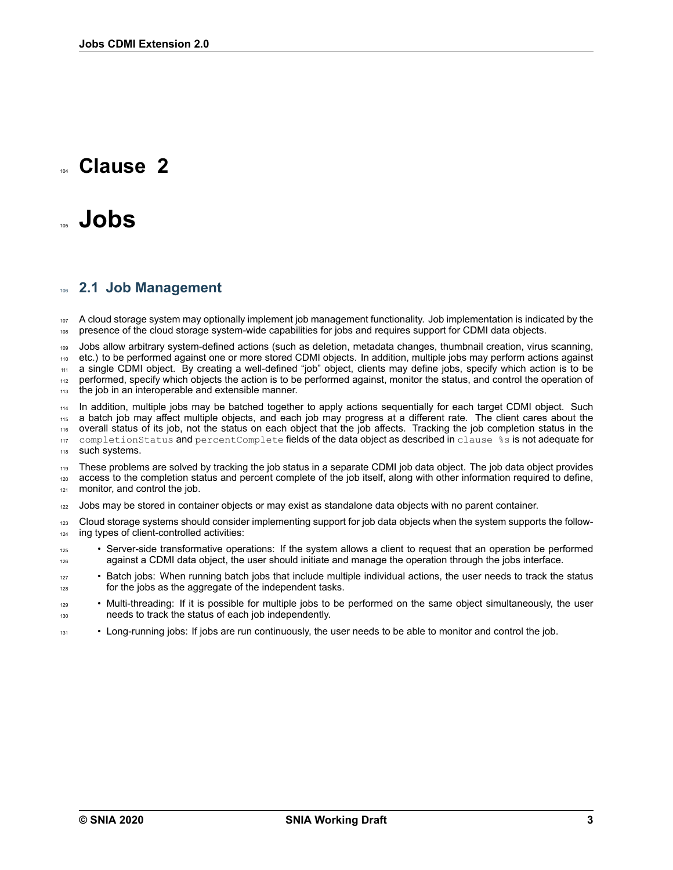## <span id="page-6-0"></span>**Clause 2**

## <sup>105</sup> **Jobs**

#### <span id="page-6-1"></span><sup>106</sup> **2.1 Job Management**

107 A cloud storage system may optionally implement job management functionality. Job implementation is indicated by the <sup>108</sup> presence of the cloud storage systemwide capabilities for jobs and requires support for CDMI data objects.

<sup>109</sup> Jobs allow arbitrary systemdefined actions (such as deletion, metadata changes, thumbnail creation, virus scanning, <sup>110</sup> etc.) to be performed against one or more stored CDMI objects. In addition, multiple jobs may perform actions against 111 a single CDMI object. By creating a well-defined "job" object, clients may define jobs, specify which action is to be 112 performed, specify which objects the action is to be performed against, monitor the status, and control the operation of 113 the job in an interoperable and extensible manner.

114 In addition, multiple jobs may be batched together to apply actions sequentially for each target CDMI object. Such <sup>115</sup> a batch job may affect multiple objects, and each job may progress at a different rate. The client cares about the <sup>116</sup> overall status of its job, not the status on each object that the job affects. Tracking the job completion status in the 117 completionStatus and percentComplete fields of the data object as described in clause %s is not adequate for 118 such systems.

<sup>119</sup> These problems are solved by tracking the job status in a separate CDMI job data object. The job data object provides 120 access to the completion status and percent complete of the job itself, along with other information required to define, 121 monitor, and control the job.

<sup>122</sup> Jobs may be stored in container objects or may exist as standalone data objects with no parent container.

<sup>123</sup> Cloud storage systems should consider implementing support for job data objects when the system supports the follow- $124$  ing types of client-controlled activities:

<sup>125</sup> • Server-side transformative operations: If the system allows a client to request that an operation be performed 126 against a CDMI data object, the user should initiate and manage the operation through the jobs interface.

<sup>127</sup> • Batch jobs: When running batch jobs that include multiple individual actions, the user needs to track the status <sup>128</sup> for the jobs as the aggregate of the independent tasks.

- <sup>129</sup> Multi-threading: If it is possible for multiple jobs to be performed on the same object simultaneously, the user <sup>130</sup> needs to track the status of each job independently.
- <sup>131</sup> Long-running jobs: If jobs are run continuously, the user needs to be able to monitor and control the job.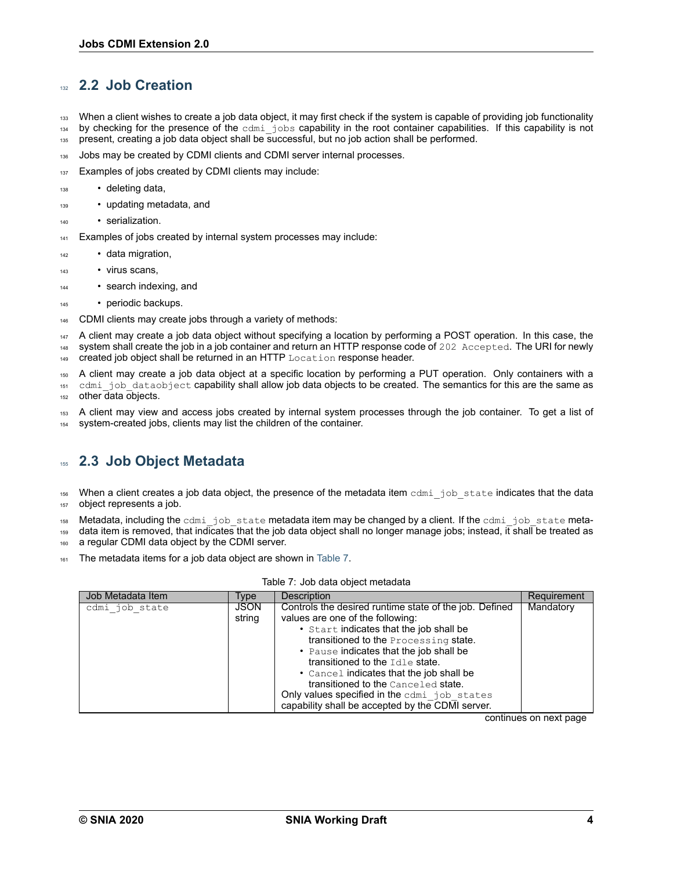## <span id="page-7-0"></span><sup>132</sup> **2.2 Job Creation**

- <sup>133</sup> When a client wishes to create a job data object, it may first check if the system is capable of providing job functionality
- 134 by checking for the presence of the cdmi\_jobs capability in the root container capabilities. If this capability is not
- 135 present, creating a job data object shall be successful, but no job action shall be performed.
- 136 Jobs may be created by CDMI clients and CDMI server internal processes.
- 137 Examples of jobs created by CDMI clients may include:
- 138 deleting data,
- <sup>139</sup> updating metadata, and
- <sup>140</sup> serialization.
- 141 Examples of jobs created by internal system processes may include:
- data migration,
- <sup>143</sup> virus scans,
- <sup>144</sup> search indexing, and
- periodic backups.
- 146 CDMI clients may create jobs through a variety of methods:

<sup>147</sup> A client may create a job data object without specifying a location by performing a POST operation. In this case, the <sup>148</sup> system shall create the job in a job container and return an HTTP response code of 202 Accepted. The URI for newly 149 created job object shall be returned in an HTTP Location response header.

<sup>150</sup> A client may create a job data object at a specific location by performing a PUT operation. Only containers with a 151 cdmi job dataobject capability shall allow job data objects to be created. The semantics for this are the same as 152 other data objects.

<sup>153</sup> A client may view and access jobs created by internal system processes through the job container. To get a list of 154 system-created jobs, clients may list the children of the container.

## <span id="page-7-1"></span><sup>155</sup> **2.3 Job Object Metadata**

 $156$  When a client creates a job data object, the presence of the metadata item cdmigiob state indicates that the data 157 object represents a job.

158 Metadata, including the cdmigob state metadata item may be changed by a client. If the cdmigiob state meta-

159 data item is removed, that indicates that the job data object shall no longer manage jobs; instead, it shall be treated as 160 a regular CDMI data object by the CDMI server.

The metadata items for a job data object are shown in [Table 7](#page-7-2).

| Table 7: Job data object metadata |  |  |
|-----------------------------------|--|--|
|-----------------------------------|--|--|

<span id="page-7-2"></span>

| Job Metadata Item | Type                  | <b>Description</b>                                                                                                                                                                                                                                                                                                                                                                                                                                  | Requirement |
|-------------------|-----------------------|-----------------------------------------------------------------------------------------------------------------------------------------------------------------------------------------------------------------------------------------------------------------------------------------------------------------------------------------------------------------------------------------------------------------------------------------------------|-------------|
| cdmi job state    | <b>JSON</b><br>string | Controls the desired runtime state of the job. Defined<br>values are one of the following:<br>• Start indicates that the job shall be<br>transitioned to the Processing state.<br>• Pause indicates that the job shall be<br>transitioned to the Idle state.<br>• Cancel indicates that the job shall be<br>transitioned to the Canceled state.<br>Only values specified in the cdmi job states<br>capability shall be accepted by the CDMI server. | Mandatory   |

continues on next page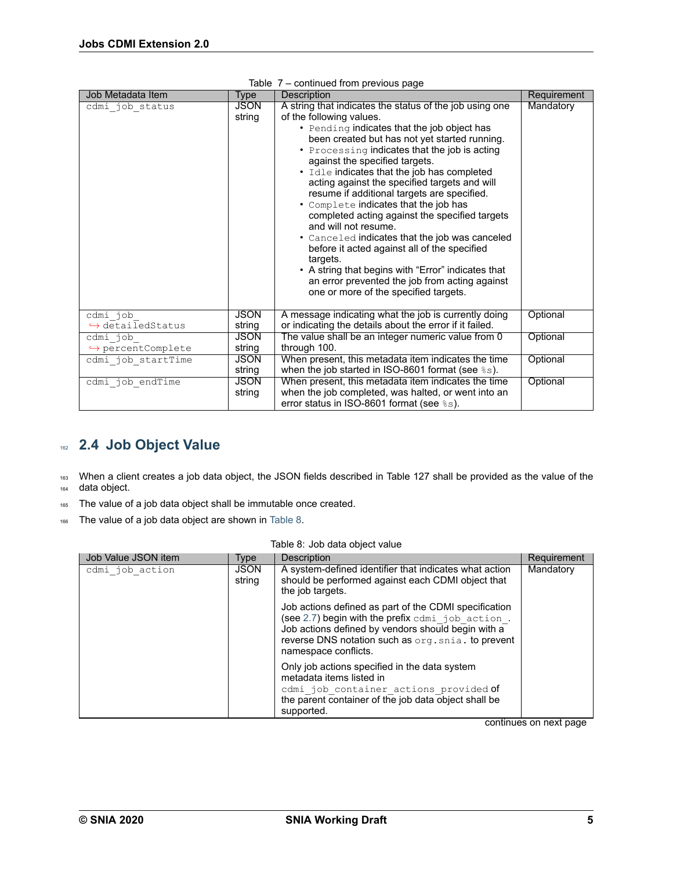| Job Metadata Item                        | Type                  | sonanaoa nom promoas pago<br>Description                                                                                                                                                                                                                                                                                                                                                                                                                                                                                                                                                                                                                                                                                                                                                                | Requirement |
|------------------------------------------|-----------------------|---------------------------------------------------------------------------------------------------------------------------------------------------------------------------------------------------------------------------------------------------------------------------------------------------------------------------------------------------------------------------------------------------------------------------------------------------------------------------------------------------------------------------------------------------------------------------------------------------------------------------------------------------------------------------------------------------------------------------------------------------------------------------------------------------------|-------------|
| cdmi job_status                          | <b>JSON</b><br>string | A string that indicates the status of the job using one<br>of the following values.<br>• Pending indicates that the job object has<br>been created but has not yet started running.<br>• Processing indicates that the job is acting<br>against the specified targets.<br>• Idle indicates that the job has completed<br>acting against the specified targets and will<br>resume if additional targets are specified.<br>• Complete indicates that the job has<br>completed acting against the specified targets<br>and will not resume.<br>• Canceled indicates that the job was canceled<br>before it acted against all of the specified<br>targets.<br>• A string that begins with "Error" indicates that<br>an error prevented the job from acting against<br>one or more of the specified targets. | Mandatory   |
| cdmi job<br>$\rightarrow$ detailedStatus | <b>JSON</b><br>string | A message indicating what the job is currently doing<br>or indicating the details about the error if it failed.                                                                                                                                                                                                                                                                                                                                                                                                                                                                                                                                                                                                                                                                                         | Optional    |
| cdmi job                                 | JSON                  | The value shall be an integer numeric value from 0                                                                                                                                                                                                                                                                                                                                                                                                                                                                                                                                                                                                                                                                                                                                                      | Optional    |
| $\rightarrow$ percentComplete            | string                | through 100.                                                                                                                                                                                                                                                                                                                                                                                                                                                                                                                                                                                                                                                                                                                                                                                            |             |
| cdmi job startTime                       | <b>JSON</b>           | When present, this metadata item indicates the time                                                                                                                                                                                                                                                                                                                                                                                                                                                                                                                                                                                                                                                                                                                                                     | Optional    |
|                                          | string                | when the job started in ISO-8601 format (see %s).                                                                                                                                                                                                                                                                                                                                                                                                                                                                                                                                                                                                                                                                                                                                                       |             |
| cdmi job endTime                         | <b>JSON</b>           | When present, this metadata item indicates the time                                                                                                                                                                                                                                                                                                                                                                                                                                                                                                                                                                                                                                                                                                                                                     | Optional    |
|                                          | string                | when the job completed, was halted, or went into an                                                                                                                                                                                                                                                                                                                                                                                                                                                                                                                                                                                                                                                                                                                                                     |             |
|                                          |                       | error status in ISO-8601 format (see $\text{\textdegree s}$ s).                                                                                                                                                                                                                                                                                                                                                                                                                                                                                                                                                                                                                                                                                                                                         |             |

| Table 7 - continued from previous page |  |
|----------------------------------------|--|
|                                        |  |

## <span id="page-8-0"></span><sup>162</sup> **2.4 Job Object Value**

163 When a client creates a job data object, the JSON fields described in Table 127 shall be provided as the value of the <sup>164</sup> data object.

- 165 The value of a job data object shall be immutable once created.
- 166 The value of a job data object are shown in [Table 8](#page-8-1).

| Table 8: Job data object value |  |
|--------------------------------|--|
|--------------------------------|--|

<span id="page-8-1"></span>

| Job Value JSON item | Type                  | Description                                                                                                                                                                                                                                   | Requirement |
|---------------------|-----------------------|-----------------------------------------------------------------------------------------------------------------------------------------------------------------------------------------------------------------------------------------------|-------------|
| cdmi job action     | <b>JSON</b><br>string | A system-defined identifier that indicates what action<br>should be performed against each CDMI object that<br>the job targets.                                                                                                               | Mandatory   |
|                     |                       | Job actions defined as part of the CDMI specification<br>(see 2.7) begin with the prefix cdmi job action.<br>Job actions defined by vendors should begin with a<br>reverse DNS notation such as org. snia. to prevent<br>namespace conflicts. |             |
|                     |                       | Only job actions specified in the data system<br>metadata items listed in<br>cdmi job container actions provided of<br>the parent container of the job data object shall be<br>supported.                                                     |             |

continues on next page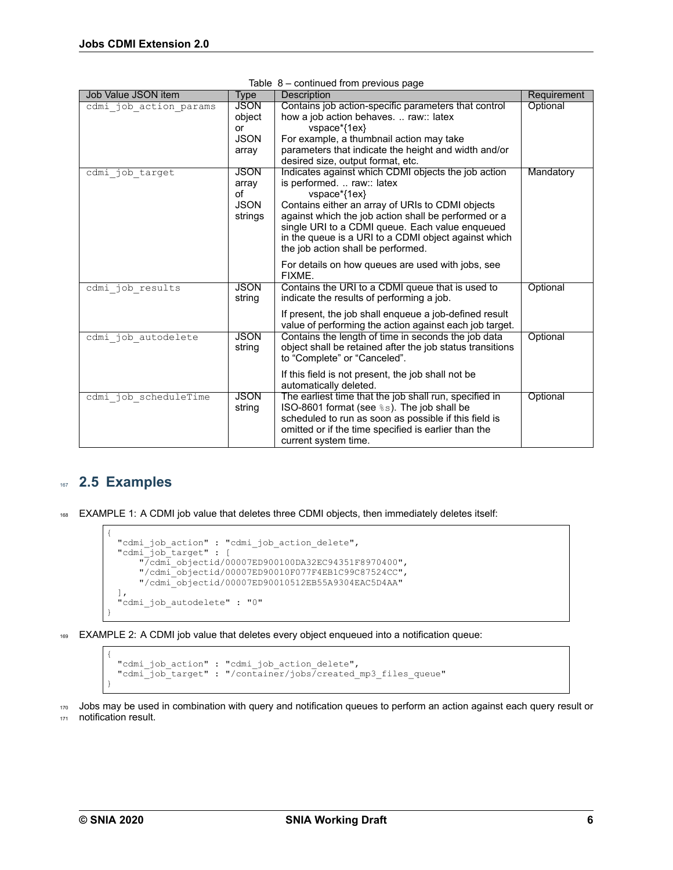| Job Value JSON item    | <b>Type</b>                 | . <b>. .</b><br>Description                                                                                                                                                                                                                               | Requirement |
|------------------------|-----------------------------|-----------------------------------------------------------------------------------------------------------------------------------------------------------------------------------------------------------------------------------------------------------|-------------|
| cdmi job action params | <b>JSON</b><br>object<br>or | Contains job action-specific parameters that control<br>how a job action behaves.  raw:: latex<br>vspace*{1ex}                                                                                                                                            | Optional    |
|                        | <b>JSON</b>                 | For example, a thumbnail action may take                                                                                                                                                                                                                  |             |
|                        | array                       | parameters that indicate the height and width and/or                                                                                                                                                                                                      |             |
|                        |                             | desired size, output format, etc.                                                                                                                                                                                                                         |             |
| cdmi job target        | <b>JSON</b>                 | Indicates against which CDMI objects the job action                                                                                                                                                                                                       | Mandatory   |
|                        | array                       | is performed.  raw:: latex                                                                                                                                                                                                                                |             |
|                        | οf                          | vspace*{1ex}                                                                                                                                                                                                                                              |             |
|                        | <b>JSON</b><br>strings      | Contains either an array of URIs to CDMI objects<br>against which the job action shall be performed or a<br>single URI to a CDMI queue. Each value enqueued<br>in the queue is a URI to a CDMI object against which<br>the job action shall be performed. |             |
|                        |                             | For details on how queues are used with jobs, see<br>FIXME.                                                                                                                                                                                               |             |
| cdmi job results       | <b>JSON</b><br>string       | Contains the URI to a CDMI queue that is used to<br>indicate the results of performing a job.                                                                                                                                                             | Optional    |
|                        |                             | If present, the job shall enqueue a job-defined result<br>value of performing the action against each job target.                                                                                                                                         |             |
| cdmi job autodelete    | <b>JSON</b><br>string       | Contains the length of time in seconds the job data<br>object shall be retained after the job status transitions<br>to "Complete" or "Canceled".                                                                                                          | Optional    |
|                        |                             | If this field is not present, the job shall not be<br>automatically deleted.                                                                                                                                                                              |             |
| cdmi job scheduleTime  | <b>JSON</b>                 | The earliest time that the job shall run, specified in                                                                                                                                                                                                    | Optional    |
|                        | string                      | ISO-8601 format (see %s). The job shall be                                                                                                                                                                                                                |             |
|                        |                             | scheduled to run as soon as possible if this field is<br>omitted or if the time specified is earlier than the                                                                                                                                             |             |
|                        |                             | current system time.                                                                                                                                                                                                                                      |             |

|  |  | Table 8 - continued from previous page |  |  |  |
|--|--|----------------------------------------|--|--|--|
|--|--|----------------------------------------|--|--|--|

## <span id="page-9-0"></span><sup>167</sup> **2.5 Examples**

{

}

168 EXAMPLE 1: A CDMI job value that deletes three CDMI objects, then immediately deletes itself:

```
"cdmi_job_action" : "cdmi_job_action_delete",
"cdmi_job_target" : [
    "/cdmi_objectid/00007ED900100DA32EC94351F8970400",
    "/cdmi_objectid/00007ED90010F077F4EB1C99C87524CC",
    "/cdmi_objectid/00007ED90010512EB55A9304EAC5D4AA"
],
"cdmi_job_autodelete" : "0"
```
169 EXAMPLE 2: A CDMI job value that deletes every object enqueued into a notification queue:

```
{
 "cdmi_job_action" : "cdmi_job_action_delete",
 "cdmi_job_target" : "/container/jobs/created_mp3_files_queue"
}
```
170 Jobs may be used in combination with query and notification queues to perform an action against each query result or 171 notification result.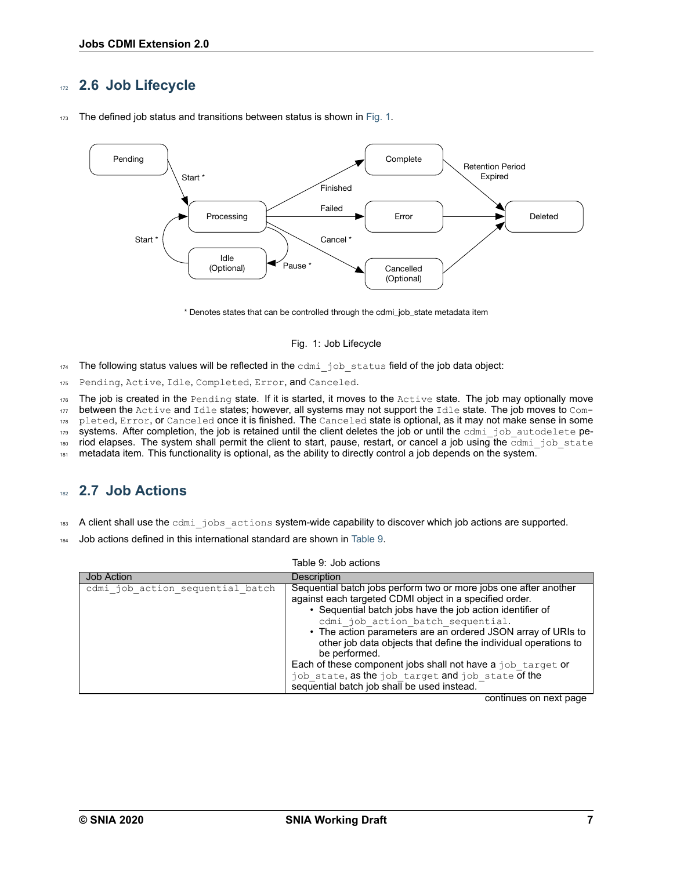### <span id="page-10-0"></span><sup>172</sup> **2.6 Job Lifecycle**

<span id="page-10-2"></span>

173 The defined job status and transitions between status is shown in [Fig. 1.](#page-10-2)

\* Denotes states that can be controlled through the cdmi\_job\_state metadata item

#### Fig. 1: Job Lifecycle

 $174$  The following status values will be reflected in the cdmi job status field of the job data object:

175 Pending, Active, Idle, Completed, Error, and Canceled.

 $176$  The job is created in the Pending state. If it is started, it moves to the Active state. The job may optionally move

 $177$  between the Active and Idle states; however, all systems may not support the Idle state. The job moves to  $Com-$ 

178 pleted, Error, or Canceled once it is finished. The Canceled state is optional, as it may not make sense in some

179 systems. After completion, the job is retained until the client deletes the job or until the  $cdm$  job autodelete pe-

180 riod elapses. The system shall permit the client to start, pause, restart, or cancel a job using the  $\overline{cdmi}$  job state

181 metadata item. This functionality is optional, as the ability to directly control a job depends on the system.

### <span id="page-10-1"></span><sup>182</sup> **2.7 Job Actions**

- 183 A client shall use the cdmi jobs actions system-wide capability to discover which job actions are supported.
- <sup>184</sup> Job actions defined in this international standard are shown in [Table 9.](#page-10-3)

<span id="page-10-3"></span>

|                                  | Table 9: Job actions                                                                                                                                                                                                                                                                                                                                                                                                                                                                                                                                 |
|----------------------------------|------------------------------------------------------------------------------------------------------------------------------------------------------------------------------------------------------------------------------------------------------------------------------------------------------------------------------------------------------------------------------------------------------------------------------------------------------------------------------------------------------------------------------------------------------|
| <b>Job Action</b>                | Description                                                                                                                                                                                                                                                                                                                                                                                                                                                                                                                                          |
| cdmi job action sequential batch | Sequential batch jobs perform two or more jobs one after another<br>against each targeted CDMI object in a specified order.<br>• Sequential batch jobs have the job action identifier of<br>cdmi job action batch sequential.<br>• The action parameters are an ordered JSON array of URIs to<br>other job data objects that define the individual operations to<br>be performed.<br>Each of these component jobs shall not have a job target or<br>job state, as the job target and job state of the<br>sequential batch job shall be used instead. |

continues on next page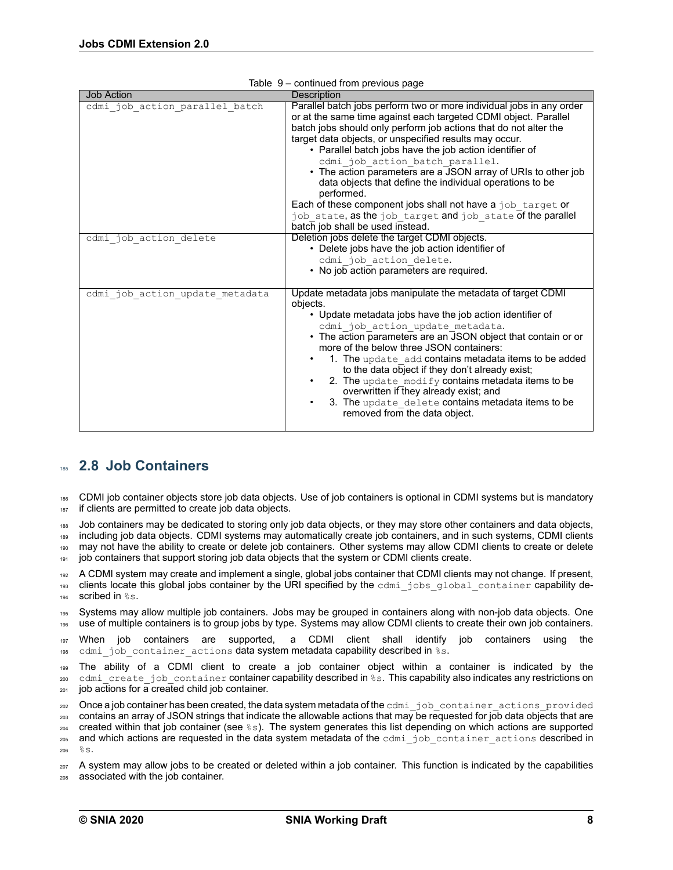| rable 9 – continued from previous page |                                                                                                                                                                                                                                                                                                                                                                                                                                                                                                                                                                                                                                                                                 |  |  |  |
|----------------------------------------|---------------------------------------------------------------------------------------------------------------------------------------------------------------------------------------------------------------------------------------------------------------------------------------------------------------------------------------------------------------------------------------------------------------------------------------------------------------------------------------------------------------------------------------------------------------------------------------------------------------------------------------------------------------------------------|--|--|--|
| <b>Job Action</b>                      | Description                                                                                                                                                                                                                                                                                                                                                                                                                                                                                                                                                                                                                                                                     |  |  |  |
| cdmi_job_action_parallel batch         | Parallel batch jobs perform two or more individual jobs in any order<br>or at the same time against each targeted CDMI object. Parallel<br>batch jobs should only perform job actions that do not alter the<br>target data objects, or unspecified results may occur.<br>• Parallel batch jobs have the job action identifier of<br>cdmi job action batch parallel.<br>• The action parameters are a JSON array of URIs to other job<br>data objects that define the individual operations to be<br>performed.<br>Each of these component jobs shall not have a job target or<br>job state, as the job target and job state of the parallel<br>batch job shall be used instead. |  |  |  |
| cdmi job action delete                 | Deletion jobs delete the target CDMI objects.<br>• Delete jobs have the job action identifier of<br>cdmi job action delete.<br>• No job action parameters are required.                                                                                                                                                                                                                                                                                                                                                                                                                                                                                                         |  |  |  |
| cdmi job_action_update_metadata        | Update metadata jobs manipulate the metadata of target CDMI<br>objects.<br>• Update metadata jobs have the job action identifier of<br>cdmi job action update metadata.<br>• The action parameters are an JSON object that contain or or<br>more of the below three JSON containers:<br>1. The update add contains metadata items to be added<br>to the data object if they don't already exist;<br>2. The update modify contains metadata items to be<br>overwritten if they already exist; and<br>3. The update delete contains metadata items to be<br>removed from the data object.                                                                                         |  |  |  |

|  | Table 9 - continued from previous page                                                                                                                                                                                         |  |
|--|--------------------------------------------------------------------------------------------------------------------------------------------------------------------------------------------------------------------------------|--|
|  | and the second second second second second second second second second second second second second second second second second second second second second second second second second second second second second second seco |  |

## <span id="page-11-0"></span><sup>185</sup> **2.8 Job Containers**

<sup>186</sup> CDMI job container objects store job data objects. Use of job containers is optional in CDMI systems but is mandatory 187 if clients are permitted to create job data objects.

188 Job containers may be dedicated to storing only job data objects, or they may store other containers and data objects, 189 including job data objects. CDMI systems may automatically create job containers, and in such systems, CDMI clients <sup>190</sup> may not have the ability to create or delete job containers. Other systems may allow CDMI clients to create or delete 191 job containers that support storing job data objects that the system or CDMI clients create.

<sup>192</sup> A CDMI system may create and implement a single, global jobs container that CDMI clients may not change. If present, 193 clients locate this global jobs container by the URI specified by the cdmi jobs global container capability de- $194$  scribed in  $\frac{6}{5}$  s.

<sup>195</sup> Systems may allow multiple job containers. Jobs may be grouped in containers along with nonjob data objects. One <sup>196</sup> use of multiple containers is to group jobs by type. Systems may allow CDMI clients to create their own job containers.

<sup>197</sup> When job containers are supported, a CDMI client shall identify job containers using the 198 cdmi job container actions data system metadata capability described in %s.

199 The ability of a CDMI client to create a job container object within a container is indicated by the 200 cdmi\_create\_job\_container container capability described in %s. This capability also indicates any restrictions on  $_{201}$  job actions for a created child job container.

202 Once a job container has been created, the data system metadata of the cdmi job container actions provided <sup>203</sup> contains an array of JSON strings that indicate the allowable actions that may be requested for job data objects that are

 $204$  created within that job container (see  $\S$ s). The system generates this list depending on which actions are supported 205 and which actions are requested in the data system metadata of the cdmi\_job\_container\_actions described in  $28<sup>2</sup>$ 

<sup>207</sup> A system may allow jobs to be created or deleted within a job container. This function is indicated by the capabilities <sup>208</sup> associated with the job container.